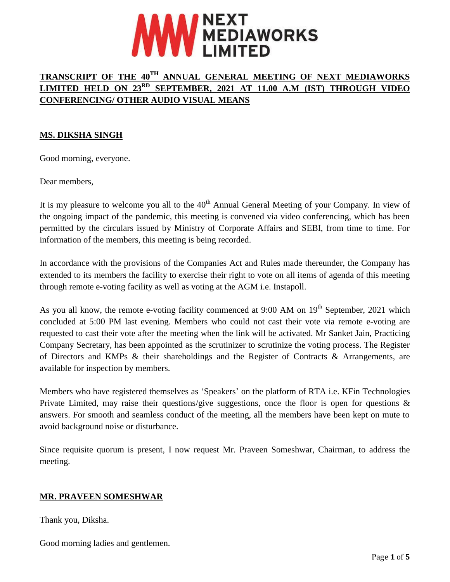

# **TRANSCRIPT OF THE 40TH ANNUAL GENERAL MEETING OF NEXT MEDIAWORKS LIMITED HELD ON 23RD SEPTEMBER, 2021 AT 11.00 A.M (IST) THROUGH VIDEO CONFERENCING/ OTHER AUDIO VISUAL MEANS**

# **MS. DIKSHA SINGH**

Good morning, everyone.

Dear members,

It is my pleasure to welcome you all to the  $40<sup>th</sup>$  Annual General Meeting of your Company. In view of the ongoing impact of the pandemic, this meeting is convened via video conferencing, which has been permitted by the circulars issued by Ministry of Corporate Affairs and SEBI, from time to time. For information of the members, this meeting is being recorded.

In accordance with the provisions of the Companies Act and Rules made thereunder, the Company has extended to its members the facility to exercise their right to vote on all items of agenda of this meeting through remote e-voting facility as well as voting at the AGM i.e. Instapoll.

As you all know, the remote e-voting facility commenced at 9:00 AM on 19<sup>th</sup> September, 2021 which concluded at 5:00 PM last evening. Members who could not cast their vote via remote e-voting are requested to cast their vote after the meeting when the link will be activated. Mr Sanket Jain, Practicing Company Secretary, has been appointed as the scrutinizer to scrutinize the voting process. The Register of Directors and KMPs & their shareholdings and the Register of Contracts & Arrangements, are available for inspection by members.

Members who have registered themselves as 'Speakers' on the platform of RTA i.e. KFin Technologies Private Limited, may raise their questions/give suggestions, once the floor is open for questions & answers. For smooth and seamless conduct of the meeting, all the members have been kept on mute to avoid background noise or disturbance.

Since requisite quorum is present, I now request Mr. Praveen Someshwar, Chairman, to address the meeting.

# **MR. PRAVEEN SOMESHWAR**

Thank you, Diksha.

Good morning ladies and gentlemen.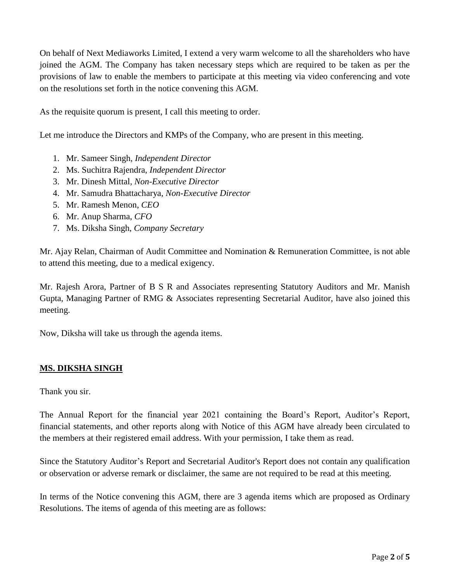On behalf of Next Mediaworks Limited, I extend a very warm welcome to all the shareholders who have joined the AGM. The Company has taken necessary steps which are required to be taken as per the provisions of law to enable the members to participate at this meeting via video conferencing and vote on the resolutions set forth in the notice convening this AGM.

As the requisite quorum is present, I call this meeting to order.

Let me introduce the Directors and KMPs of the Company, who are present in this meeting.

- 1. Mr. Sameer Singh, *Independent Director*
- 2. Ms. Suchitra Rajendra, *Independent Director*
- 3. Mr. Dinesh Mittal, *Non-Executive Director*
- 4. Mr. Samudra Bhattacharya, *Non-Executive Director*
- 5. Mr. Ramesh Menon, *CEO*
- 6. Mr. Anup Sharma, *CFO*
- 7. Ms. Diksha Singh, *Company Secretary*

Mr. Ajay Relan, Chairman of Audit Committee and Nomination & Remuneration Committee, is not able to attend this meeting, due to a medical exigency.

Mr. Rajesh Arora, Partner of B S R and Associates representing Statutory Auditors and Mr. Manish Gupta, Managing Partner of RMG & Associates representing Secretarial Auditor, have also joined this meeting.

Now, Diksha will take us through the agenda items.

# **MS. DIKSHA SINGH**

Thank you sir.

The Annual Report for the financial year 2021 containing the Board's Report, Auditor's Report, financial statements, and other reports along with Notice of this AGM have already been circulated to the members at their registered email address. With your permission, I take them as read.

Since the Statutory Auditor's Report and Secretarial Auditor's Report does not contain any qualification or observation or adverse remark or disclaimer, the same are not required to be read at this meeting.

In terms of the Notice convening this AGM, there are 3 agenda items which are proposed as Ordinary Resolutions. The items of agenda of this meeting are as follows: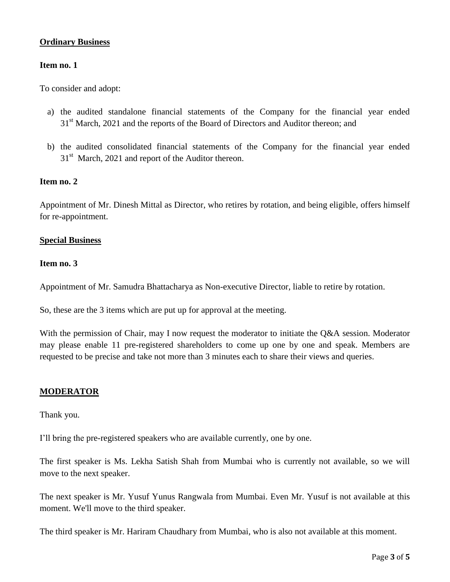### **Ordinary Business**

#### **Item no. 1**

To consider and adopt:

- a) the audited standalone financial statements of the Company for the financial year ended 31<sup>st</sup> March, 2021 and the reports of the Board of Directors and Auditor thereon; and
- b) the audited consolidated financial statements of the Company for the financial year ended  $31<sup>st</sup>$  March, 2021 and report of the Auditor thereon.

#### **Item no. 2**

Appointment of Mr. Dinesh Mittal as Director, who retires by rotation, and being eligible, offers himself for re-appointment.

#### **Special Business**

#### **Item no. 3**

Appointment of Mr. Samudra Bhattacharya as Non-executive Director, liable to retire by rotation.

So, these are the 3 items which are put up for approval at the meeting.

With the permission of Chair, may I now request the moderator to initiate the Q&A session. Moderator may please enable 11 pre-registered shareholders to come up one by one and speak. Members are requested to be precise and take not more than 3 minutes each to share their views and queries.

#### **MODERATOR**

Thank you.

I'll bring the pre-registered speakers who are available currently, one by one.

The first speaker is Ms. Lekha Satish Shah from Mumbai who is currently not available, so we will move to the next speaker.

The next speaker is Mr. Yusuf Yunus Rangwala from Mumbai. Even Mr. Yusuf is not available at this moment. We'll move to the third speaker.

The third speaker is Mr. Hariram Chaudhary from Mumbai, who is also not available at this moment.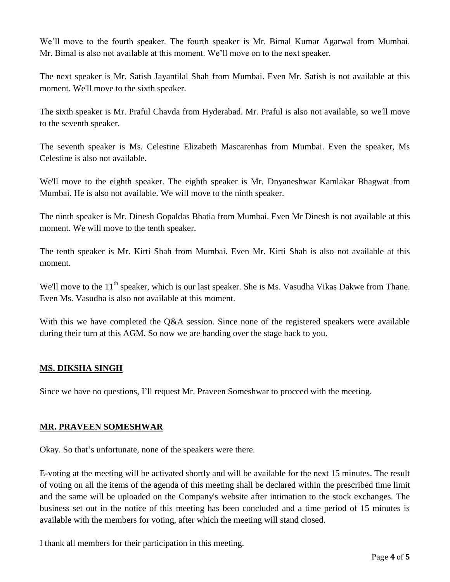We'll move to the fourth speaker. The fourth speaker is Mr. Bimal Kumar Agarwal from Mumbai. Mr. Bimal is also not available at this moment. We'll move on to the next speaker.

The next speaker is Mr. Satish Jayantilal Shah from Mumbai. Even Mr. Satish is not available at this moment. We'll move to the sixth speaker.

The sixth speaker is Mr. Praful Chavda from Hyderabad. Mr. Praful is also not available, so we'll move to the seventh speaker.

The seventh speaker is Ms. Celestine Elizabeth Mascarenhas from Mumbai. Even the speaker, Ms Celestine is also not available.

We'll move to the eighth speaker. The eighth speaker is Mr. Dnyaneshwar Kamlakar Bhagwat from Mumbai. He is also not available. We will move to the ninth speaker.

The ninth speaker is Mr. Dinesh Gopaldas Bhatia from Mumbai. Even Mr Dinesh is not available at this moment. We will move to the tenth speaker.

The tenth speaker is Mr. Kirti Shah from Mumbai. Even Mr. Kirti Shah is also not available at this moment.

We'll move to the 11<sup>th</sup> speaker, which is our last speaker. She is Ms. Vasudha Vikas Dakwe from Thane. Even Ms. Vasudha is also not available at this moment.

With this we have completed the Q&A session. Since none of the registered speakers were available during their turn at this AGM. So now we are handing over the stage back to you.

# **MS. DIKSHA SINGH**

Since we have no questions, I'll request Mr. Praveen Someshwar to proceed with the meeting.

# **MR. PRAVEEN SOMESHWAR**

Okay. So that's unfortunate, none of the speakers were there.

E-voting at the meeting will be activated shortly and will be available for the next 15 minutes. The result of voting on all the items of the agenda of this meeting shall be declared within the prescribed time limit and the same will be uploaded on the Company's website after intimation to the stock exchanges. The business set out in the notice of this meeting has been concluded and a time period of 15 minutes is available with the members for voting, after which the meeting will stand closed.

I thank all members for their participation in this meeting.